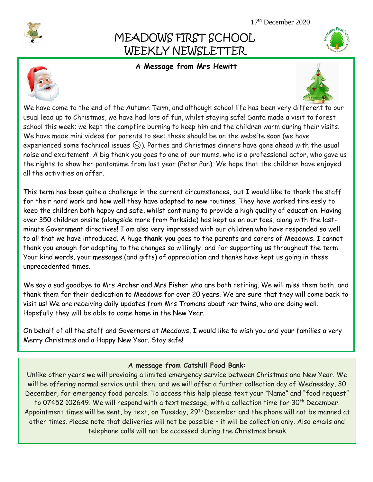# MEADOWS FIRST SCHOOL WEEKLY NEWSLETTER

## **A Message from Mrs Hewitt**





We have come to the end of the Autumn Term, and although school life has been very different to our usual lead up to Christmas, we have had lots of fun, whilst staying safe! Santa made a visit to forest school this week; we kept the campfire burning to keep him and the children warm during their visits. We have made mini videos for parents to see; these should be on the website soon (we have experienced some technical issues  $\odot$ ). Parties and Christmas dinners have gone ahead with the usual noise and excitement. A big thank you goes to one of our mums, who is a professional actor, who gave us the rights to show her pantomime from last year (Peter Pan). We hope that the children have enjoyed all the activities on offer.

This term has been quite a challenge in the current circumstances, but I would like to thank the staff for their hard work and how well they have adapted to new routines. They have worked tirelessly to keep the children both happy and safe, whilst continuing to provide a high quality of education. Having over 350 children onsite (alongside more from Parkside) has kept us on our toes, along with the lastminute Government directives! I am also very impressed with our children who have responded so well to all that we have introduced. A huge **thank you** goes to the parents and carers of Meadows. I cannot thank you enough for adapting to the changes so willingly, and for supporting us throughout the term. Your kind words, your messages (and gifts) of appreciation and thanks have kept us going in these unprecedented times.

We say a sad goodbye to Mrs Archer and Mrs Fisher who are both retiring. We will miss them both, and thank them for their dedication to Meadows for over 20 years. We are sure that they will come back to visit us! We are receiving daily updates from Mrs Tromans about her twins, who are doing well. Hopefully they will be able to come home in the New Year.

On behalf of all the staff and Governors at Meadows, I would like to wish you and your families a very Merry Christmas and a Happy New Year. Stay safe!

### **A message from Catshill Food Bank:**

Unlike other years we will providing a limited emergency service between Christmas and New Year. We will be offering normal service until then, and we will offer a further collection day of Wednesday, 30 December, for emergency food parcels. To access this help please text your "Name" and "food request" to 07452 102649. We will respond with a text message, with a collection time for 30<sup>th</sup> December. Appointment times will be sent, by text, on Tuesday, 29<sup>th</sup> December and the phone will not be manned at other times. Please note that deliveries will not be possible – it will be collection only. Also emails and telephone calls will not be accessed during the Christmas break

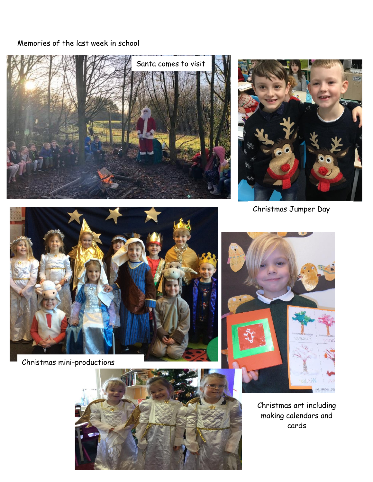# Memories of the last week in school





Christmas Jumper Day



Christmas mini-productions





Christmas art including making calendars and cards